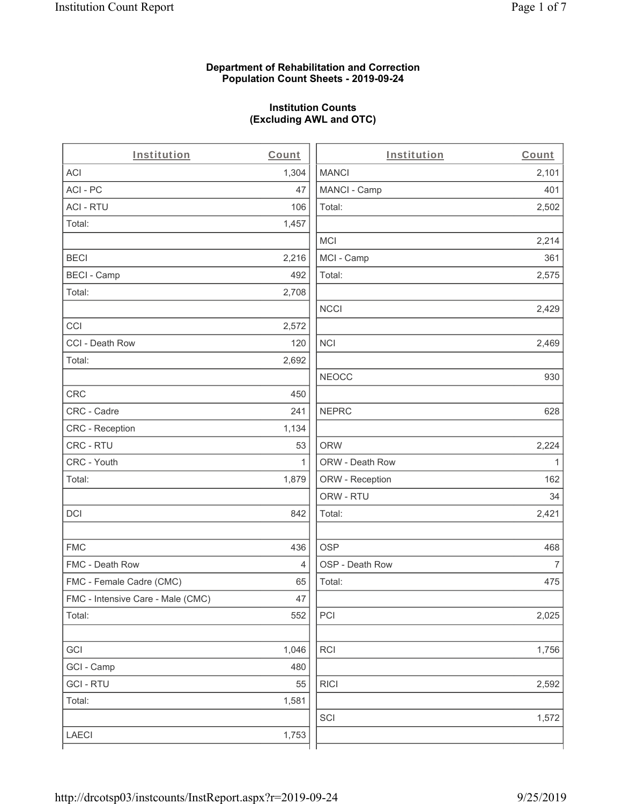#### **Department of Rehabilitation and Correction Population Count Sheets - 2019-09-24**

## **Institution Counts (Excluding AWL and OTC)**

 $\overline{a}$ 

| Institution                       | Count          | Institution     | Count        |
|-----------------------------------|----------------|-----------------|--------------|
| <b>ACI</b>                        | 1,304          | <b>MANCI</b>    | 2,101        |
| ACI-PC                            | 47             | MANCI - Camp    | 401          |
| <b>ACI - RTU</b>                  | 106            | Total:          | 2,502        |
| Total:                            | 1,457          |                 |              |
|                                   |                | MCI             | 2,214        |
| <b>BECI</b>                       | 2,216          | MCI - Camp      | 361          |
| <b>BECI - Camp</b>                | 492            | Total:          | 2,575        |
| Total:                            | 2,708          |                 |              |
|                                   |                | <b>NCCI</b>     | 2,429        |
| CCI                               | 2,572          |                 |              |
| CCI - Death Row                   | 120            | <b>NCI</b>      | 2,469        |
| Total:                            | 2,692          |                 |              |
|                                   |                | <b>NEOCC</b>    | 930          |
| <b>CRC</b>                        | 450            |                 |              |
| CRC - Cadre                       | 241            | <b>NEPRC</b>    | 628          |
| <b>CRC</b> - Reception            | 1,134          |                 |              |
| CRC - RTU                         | 53             | <b>ORW</b>      | 2,224        |
| CRC - Youth                       | 1              | ORW - Death Row | $\mathbf{1}$ |
| Total:                            | 1,879          | ORW - Reception | 162          |
|                                   |                | ORW - RTU       | 34           |
| DCI                               | 842            | Total:          | 2,421        |
| <b>FMC</b>                        | 436            | <b>OSP</b>      | 468          |
| FMC - Death Row                   | $\overline{4}$ | OSP - Death Row | 7            |
| FMC - Female Cadre (CMC)          | 65             | Total:          | 475          |
| FMC - Intensive Care - Male (CMC) | 47             |                 |              |
| Total:                            | 552            | PCI             | 2,025        |
| GCI                               | 1,046          | RCI             | 1,756        |
| GCI - Camp                        | 480            |                 |              |
| <b>GCI-RTU</b>                    | 55             | <b>RICI</b>     | 2,592        |
| Total:                            | 1,581          |                 |              |
|                                   |                | SCI             | 1,572        |
| LAECI                             | 1,753          |                 |              |
|                                   |                |                 |              |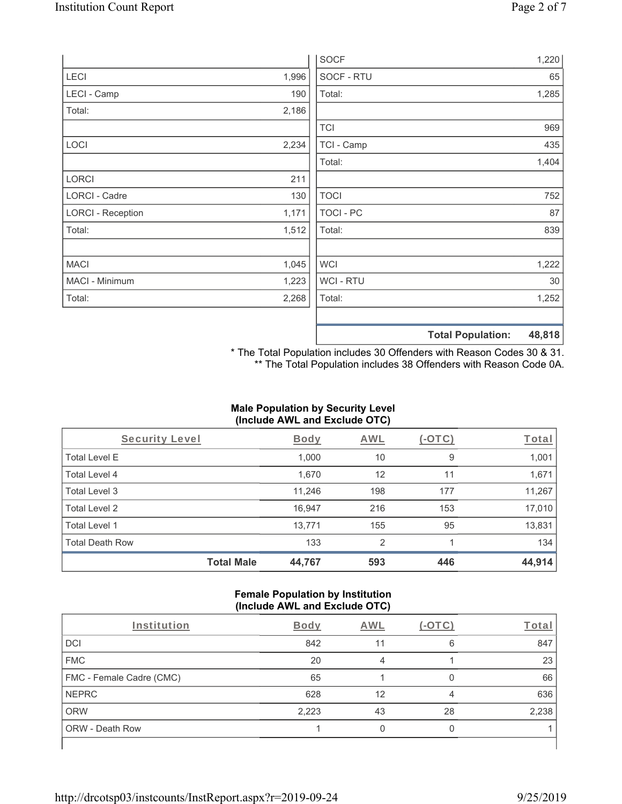|                          |       | <b>SOCF</b> | 1,220                              |
|--------------------------|-------|-------------|------------------------------------|
| LECI                     | 1,996 | SOCF - RTU  | 65                                 |
| LECI - Camp              | 190   | Total:      | 1,285                              |
| Total:                   | 2,186 |             |                                    |
|                          |       | <b>TCI</b>  | 969                                |
| LOCI                     | 2,234 | TCI - Camp  | 435                                |
|                          |       | Total:      | 1,404                              |
| LORCI                    | 211   |             |                                    |
| LORCI - Cadre            | 130   | <b>TOCI</b> | 752                                |
| <b>LORCI - Reception</b> | 1,171 | TOCI - PC   | 87                                 |
| Total:                   | 1,512 | Total:      | 839                                |
| <b>MACI</b>              | 1,045 | WCI         | 1,222                              |
| MACI - Minimum           | 1,223 | WCI - RTU   | 30                                 |
| Total:                   | 2,268 | Total:      | 1,252                              |
|                          |       |             | 48,818<br><b>Total Population:</b> |

\* The Total Population includes 30 Offenders with Reason Codes 30 & 31. \*\* The Total Population includes 38 Offenders with Reason Code 0A.

## **Male Population by Security Level (Include AWL and Exclude OTC)**

| Security Level         |                   | <b>Body</b> | <b>AWL</b> | $(-OTC)$ | Total  |
|------------------------|-------------------|-------------|------------|----------|--------|
| <b>Total Level E</b>   |                   | 1,000       | 10         | 9        | 1,001  |
| Total Level 4          |                   | 1,670       | 12         | 11       | 1,671  |
| Total Level 3          |                   | 11,246      | 198        | 177      | 11,267 |
| Total Level 2          |                   | 16.947      | 216        | 153      | 17,010 |
| Total Level 1          |                   | 13,771      | 155        | 95       | 13,831 |
| <b>Total Death Row</b> |                   | 133         | 2          |          | 134    |
|                        | <b>Total Male</b> | 44,767      | 593        | 446      | 44,914 |

#### **Female Population by Institution (Include AWL and Exclude OTC)**

| Institution              | <b>Body</b> | <b>AWL</b> | - 1 | Total |
|--------------------------|-------------|------------|-----|-------|
| <b>DCI</b>               | 842         | 11         | 6   | 847   |
| <b>FMC</b>               | 20          | 4          |     | 23    |
| FMC - Female Cadre (CMC) | 65          |            |     | 66    |
| <b>NEPRC</b>             | 628         | 12         | 4   | 636   |
| <b>ORW</b>               | 2,223       | 43         | 28  | 2,238 |
| <b>ORW - Death Row</b>   |             |            |     |       |
|                          |             |            |     |       |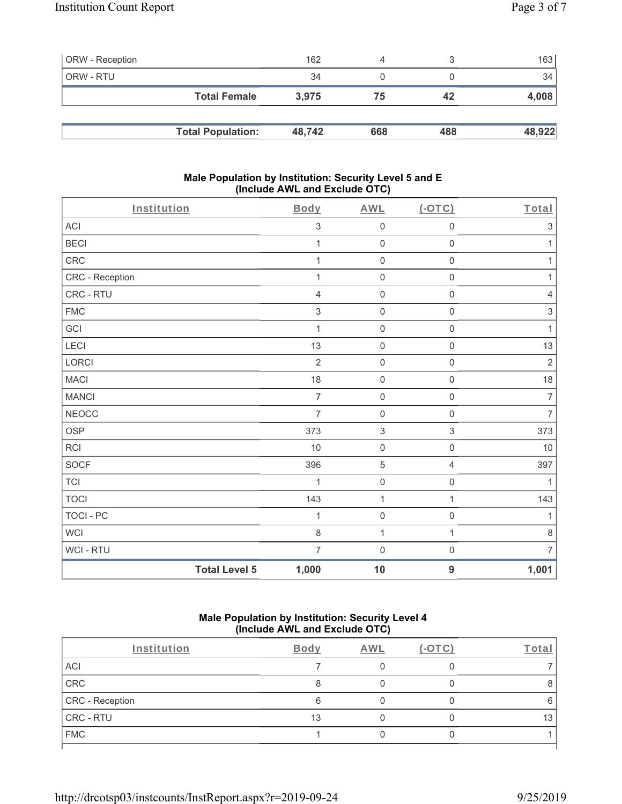| <b>ORW</b> - Reception |                          | 162    | 4   |     | 163    |
|------------------------|--------------------------|--------|-----|-----|--------|
| ORW - RTU              |                          | 34     |     |     | 34     |
|                        | <b>Total Female</b>      | 3.975  | 75  | 42  | 4,008  |
|                        |                          |        |     |     |        |
|                        | <b>Total Population:</b> | 48.742 | 668 | 488 | 48,922 |

#### **Male Population by Institution: Security Level 5 and E (Include AWL and Exclude OTC)**

| Institution     |                      | Body           | <b>AWL</b>                | (OTC)               | Total                     |
|-----------------|----------------------|----------------|---------------------------|---------------------|---------------------------|
| <b>ACI</b>      |                      | $\sqrt{3}$     | $\mathsf{O}\xspace$       | $\mathsf{O}\xspace$ | $\,$ 3 $\,$               |
| <b>BECI</b>     |                      | 1              | $\boldsymbol{0}$          | $\mathsf 0$         | 1                         |
| CRC             |                      | 1              | $\mathbf 0$               | $\mathsf 0$         | $\mathbf{1}$              |
| CRC - Reception |                      | $\mathbf 1$    | $\mathsf{O}\xspace$       | $\mathbf 0$         | $\mathbf{1}$              |
| CRC - RTU       |                      | $\overline{4}$ | $\boldsymbol{0}$          | 0                   | $\overline{4}$            |
| ${\sf FMC}$     |                      | $\sqrt{3}$     | $\mathbf 0$               | $\mathsf 0$         | $\ensuremath{\mathsf{3}}$ |
| GCI             |                      | $\mathbf{1}$   | $\boldsymbol{0}$          | $\mathbf 0$         | $\mathbf{1}$              |
| LECI            |                      | 13             | $\boldsymbol{0}$          | $\mathsf 0$         | 13                        |
| LORCI           |                      | $\overline{2}$ | $\boldsymbol{0}$          | $\mathsf 0$         | $\sqrt{2}$                |
| <b>MACI</b>     |                      | 18             | $\mathsf{O}\xspace$       | $\mathbf 0$         | 18                        |
| <b>MANCI</b>    |                      | $\overline{7}$ | $\boldsymbol{0}$          | $\mathsf 0$         | $\overline{7}$            |
| <b>NEOCC</b>    |                      | $\overline{7}$ | $\boldsymbol{0}$          | $\mathsf 0$         | $\overline{7}$            |
| OSP             |                      | 373            | $\ensuremath{\mathsf{3}}$ | $\,$ 3 $\,$         | 373                       |
| <b>RCI</b>      |                      | 10             | $\boldsymbol{0}$          | $\mathsf 0$         | 10                        |
| SOCF            |                      | 396            | $\sqrt{5}$                | 4                   | 397                       |
| <b>TCI</b>      |                      | $\mathbf 1$    | $\mathsf{O}\xspace$       | $\mathsf 0$         | $\mathbf{1}$              |
| <b>TOCI</b>     |                      | 143            | 1                         | $\mathbf{1}$        | 143                       |
| TOCI - PC       |                      | 1              | $\boldsymbol{0}$          | $\mathsf 0$         | 1                         |
| <b>WCI</b>      |                      | 8              | $\mathbf{1}$              | $\mathbf{1}$        | $\,8\,$                   |
| WCI - RTU       |                      | $\overline{7}$ | $\mathsf{O}\xspace$       | $\mathsf 0$         | $\overline{7}$            |
|                 | <b>Total Level 5</b> | 1,000          | 10                        | $\overline{9}$      | 1,001                     |

#### **Male Population by Institution: Security Level 4 (Include AWL and Exclude OTC)**

| Institution     | Body | AWL | <b>COTC</b> | ⊺ota |
|-----------------|------|-----|-------------|------|
| ACI             |      |     |             |      |
| CRC             |      |     |             |      |
| CRC - Reception | Բ    |     |             |      |
| CRC - RTU       | 13   |     |             | 13   |
| <b>FMC</b>      |      |     |             |      |
|                 |      |     |             |      |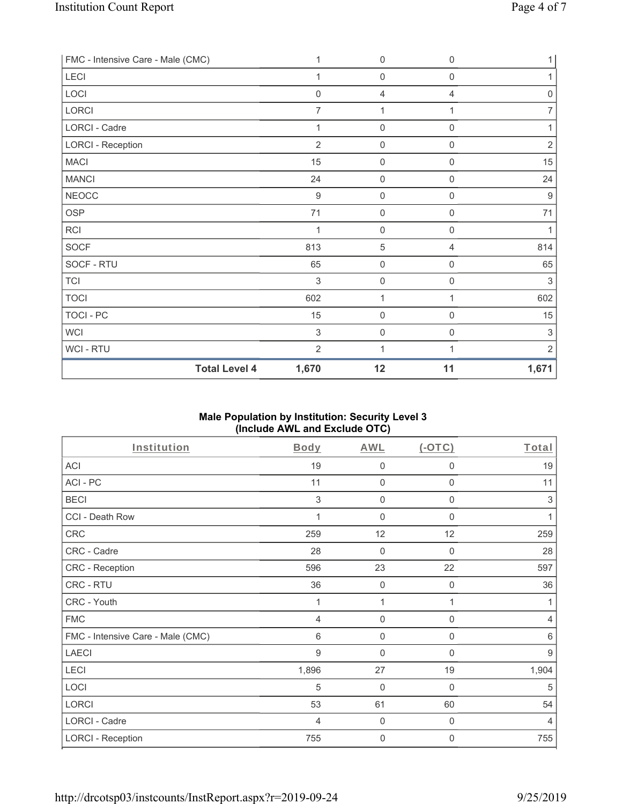| FMC - Intensive Care - Male (CMC) | 1              | 0                   | 0                   | $\mathbf{1}$     |
|-----------------------------------|----------------|---------------------|---------------------|------------------|
| LECI                              |                | $\boldsymbol{0}$    | 0                   | 1                |
| LOCI                              | $\mathbf 0$    | $\overline{4}$      | 4                   | $\mathbf 0$      |
| LORCI                             | 7              | 1                   |                     | 7                |
| <b>LORCI - Cadre</b>              | 1              | $\mathbf 0$         | $\mathsf 0$         | 1                |
| <b>LORCI - Reception</b>          | $\overline{2}$ | $\boldsymbol{0}$    | $\mathsf 0$         | $\overline{2}$   |
| <b>MACI</b>                       | 15             | $\boldsymbol{0}$    | $\mathbf 0$         | 15               |
| <b>MANCI</b>                      | 24             | $\mathbf 0$         | $\mathbf 0$         | 24               |
| <b>NEOCC</b>                      | 9              | $\boldsymbol{0}$    | $\boldsymbol{0}$    | $\boldsymbol{9}$ |
| <b>OSP</b>                        | 71             | 0                   | $\mathbf 0$         | 71               |
| <b>RCI</b>                        |                | $\boldsymbol{0}$    | $\mathbf 0$         | 1                |
| <b>SOCF</b>                       | 813            | $\sqrt{5}$          | 4                   | 814              |
| SOCF - RTU                        | 65             | $\mathsf{O}\xspace$ | $\boldsymbol{0}$    | 65               |
| <b>TCI</b>                        | $\mathfrak{Z}$ | $\mathbf 0$         | $\mathsf{O}\xspace$ | 3                |
| <b>TOCI</b>                       | 602            | 1                   | 1                   | 602              |
| TOCI - PC                         | 15             | $\mathbf 0$         | $\mathsf{O}\xspace$ | 15               |
| <b>WCI</b>                        | $\sqrt{3}$     | $\mathsf{O}\xspace$ | $\boldsymbol{0}$    | $\,$ 3 $\,$      |
| WCI - RTU                         | $\overline{2}$ | 1                   |                     | $\overline{2}$   |
| <b>Total Level 4</b>              | 1,670          | 12                  | 11                  | 1,671            |

# **Male Population by Institution: Security Level 3 (Include AWL and Exclude OTC)**

| Institution                       | Body  | AWL              | $(-OTC)$         | Total          |
|-----------------------------------|-------|------------------|------------------|----------------|
| <b>ACI</b>                        | 19    | 0                | 0                | 19             |
| ACI-PC                            | 11    | $\mathbf 0$      | $\mathbf 0$      | 11             |
| <b>BECI</b>                       | 3     | 0                | $\mathbf 0$      | 3              |
| CCI - Death Row                   | 1     | $\overline{0}$   | $\Omega$         | 1              |
| <b>CRC</b>                        | 259   | 12               | 12               | 259            |
| CRC - Cadre                       | 28    | $\mathbf 0$      | 0                | 28             |
| CRC - Reception                   | 596   | 23               | 22               | 597            |
| CRC - RTU                         | 36    | $\mathbf 0$      | 0                | 36             |
| CRC - Youth                       |       | 1                | 1                | 1              |
| <b>FMC</b>                        | 4     | $\boldsymbol{0}$ | $\boldsymbol{0}$ | $\overline{4}$ |
| FMC - Intensive Care - Male (CMC) | 6     | 0                | $\mathbf 0$      | 6              |
| <b>LAECI</b>                      | 9     | $\overline{0}$   | $\mathbf 0$      | 9              |
| <b>LECI</b>                       | 1,896 | 27               | 19               | 1,904          |
| LOCI                              | 5     | $\mathbf 0$      | 0                | 5              |
| LORCI                             | 53    | 61               | 60               | 54             |
| LORCI - Cadre                     | 4     | 0                | 0                | $\overline{4}$ |
| <b>LORCI - Reception</b>          | 755   | 0                | 0                | 755            |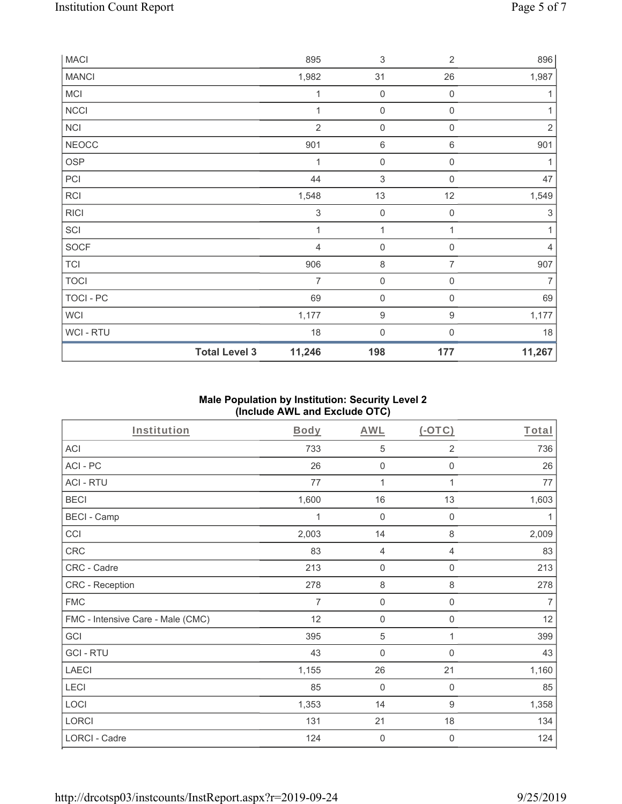| <b>MACI</b>  |                      | 895                       | $\sqrt{3}$                | $\overline{2}$      | 896            |
|--------------|----------------------|---------------------------|---------------------------|---------------------|----------------|
| <b>MANCI</b> |                      | 1,982                     | 31                        | 26                  | 1,987          |
| MCI          |                      | 1                         | $\boldsymbol{0}$          | $\mathbf 0$         | 1              |
| NCCI         |                      | 1                         | $\boldsymbol{0}$          | 0                   | 1              |
| <b>NCI</b>   |                      | $\overline{2}$            | $\mathsf{O}\xspace$       | $\boldsymbol{0}$    | $\overline{2}$ |
| <b>NEOCC</b> |                      | 901                       | $\,6\,$                   | $\,6\,$             | 901            |
| <b>OSP</b>   |                      | 1                         | $\boldsymbol{0}$          | $\mathsf{O}\xspace$ | 1              |
| PCI          |                      | 44                        | $\ensuremath{\mathsf{3}}$ | 0                   | 47             |
| RCI          |                      | 1,548                     | 13                        | 12                  | 1,549          |
| <b>RICI</b>  |                      | $\ensuremath{\mathsf{3}}$ | $\boldsymbol{0}$          | $\mathbf 0$         | 3              |
| SCI          |                      | 1                         | $\mathbf{1}$              | 1                   | 1              |
| SOCF         |                      | $\overline{4}$            | $\boldsymbol{0}$          | $\boldsymbol{0}$    | 4              |
| <b>TCI</b>   |                      | 906                       | 8                         | $\overline{7}$      | 907            |
| <b>TOCI</b>  |                      | 7                         | $\mathsf{O}\xspace$       | $\boldsymbol{0}$    | 7              |
| TOCI - PC    |                      | 69                        | $\boldsymbol{0}$          | 0                   | 69             |
| <b>WCI</b>   |                      | 1,177                     | $\boldsymbol{9}$          | 9                   | 1,177          |
| WCI-RTU      |                      | $18$                      | $\mathbf 0$               | 0                   | 18             |
|              | <b>Total Level 3</b> | 11,246                    | 198                       | 177                 | 11,267         |

### **Male Population by Institution: Security Level 2 (Include AWL and Exclude OTC)**

| Institution                       | <b>Body</b>    | <b>AWL</b>     | (OTC)               | Total          |
|-----------------------------------|----------------|----------------|---------------------|----------------|
| <b>ACI</b>                        | 733            | 5              | $\overline{2}$      | 736            |
| ACI-PC                            | 26             | $\mathbf 0$    | $\mathbf 0$         | 26             |
| <b>ACI - RTU</b>                  | 77             | 1              | 1                   | 77             |
| <b>BECI</b>                       | 1,600          | 16             | 13                  | 1,603          |
| <b>BECI - Camp</b>                | 1              | $\mathbf 0$    | $\mathbf 0$         | 1              |
| CCI                               | 2,003          | 14             | $\,8\,$             | 2,009          |
| CRC                               | 83             | $\overline{4}$ | $\overline{4}$      | 83             |
| CRC - Cadre                       | 213            | $\mathbf 0$    | $\mathsf{O}\xspace$ | 213            |
| CRC - Reception                   | 278            | $\,8\,$        | $\,8\,$             | 278            |
| <b>FMC</b>                        | $\overline{7}$ | $\mathbf 0$    | $\mathsf{O}\xspace$ | $\overline{7}$ |
| FMC - Intensive Care - Male (CMC) | 12             | $\mathbf 0$    | $\boldsymbol{0}$    | 12             |
| GCI                               | 395            | 5              | 1                   | 399            |
| <b>GCI-RTU</b>                    | 43             | $\mathbf 0$    | 0                   | 43             |
| <b>LAECI</b>                      | 1,155          | 26             | 21                  | 1,160          |
| LECI                              | 85             | $\mathbf 0$    | $\boldsymbol{0}$    | 85             |
| LOCI                              | 1,353          | 14             | $\boldsymbol{9}$    | 1,358          |
| <b>LORCI</b>                      | 131            | 21             | 18                  | 134            |
| LORCI - Cadre                     | 124            | $\mathbf 0$    | $\mathbf 0$         | 124            |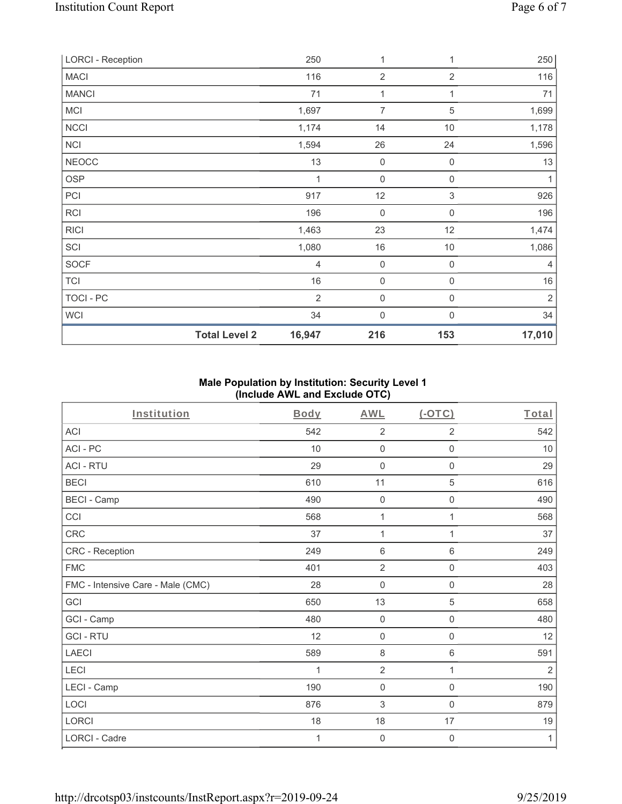| <b>LORCI - Reception</b> |                      | 250            | 1                | 1              | 250            |
|--------------------------|----------------------|----------------|------------------|----------------|----------------|
| <b>MACI</b>              |                      | 116            | $\sqrt{2}$       | $\overline{2}$ | 116            |
| <b>MANCI</b>             |                      | 71             | $\mathbf{1}$     | 1              | 71             |
| <b>MCI</b>               |                      | 1,697          | 7                | $\,$ 5 $\,$    | 1,699          |
| NCCI                     |                      | 1,174          | 14               | 10             | 1,178          |
| NCI                      |                      | 1,594          | 26               | 24             | 1,596          |
| <b>NEOCC</b>             |                      | 13             | 0                | $\mathbf 0$    | 13             |
| <b>OSP</b>               |                      | 1              | $\mathbf 0$      | $\mathbf 0$    | 1              |
| PCI                      |                      | 917            | 12               | $\,$ 3 $\,$    | 926            |
| <b>RCI</b>               |                      | 196            | $\mathbf 0$      | $\mathbf 0$    | 196            |
| <b>RICI</b>              |                      | 1,463          | 23               | 12             | 1,474          |
| SCI                      |                      | 1,080          | 16               | $10$           | 1,086          |
| <b>SOCF</b>              |                      | $\overline{4}$ | $\mathbf 0$      | $\mathbf 0$    | 4              |
| <b>TCI</b>               |                      | 16             | $\boldsymbol{0}$ | $\mathbf 0$    | 16             |
| TOCI - PC                |                      | $\overline{2}$ | 0                | $\mathbf 0$    | $\overline{2}$ |
| <b>WCI</b>               |                      | 34             | $\mathbf 0$      | $\Omega$       | 34             |
|                          | <b>Total Level 2</b> | 16,947         | 216              | 153            | 17,010         |

# **Male Population by Institution: Security Level 1 (Include AWL and Exclude OTC)**

| Institution                       | <b>Body</b> | <b>AWL</b>          | (OTC)               | Total |
|-----------------------------------|-------------|---------------------|---------------------|-------|
| <b>ACI</b>                        | 542         | $\overline{2}$      | 2                   | 542   |
| ACI-PC                            | 10          | $\mathbf 0$         | $\mathbf 0$         | 10    |
| <b>ACI - RTU</b>                  | 29          | $\mathsf{O}\xspace$ | $\mathsf{O}\xspace$ | 29    |
| <b>BECI</b>                       | 610         | 11                  | 5                   | 616   |
| <b>BECI - Camp</b>                | 490         | $\boldsymbol{0}$    | 0                   | 490   |
| CCI                               | 568         | $\mathbf{1}$        | 1                   | 568   |
| CRC                               | 37          | 1                   | 1                   | 37    |
| CRC - Reception                   | 249         | 6                   | 6                   | 249   |
| <b>FMC</b>                        | 401         | $\overline{2}$      | $\mathsf 0$         | 403   |
| FMC - Intensive Care - Male (CMC) | 28          | $\mathsf{O}\xspace$ | $\mathsf{O}\xspace$ | 28    |
| GCI                               | 650         | 13                  | 5                   | 658   |
| GCI - Camp                        | 480         | $\mathbf 0$         | $\mathsf{O}\xspace$ | 480   |
| <b>GCI-RTU</b>                    | 12          | 0                   | $\mathsf 0$         | 12    |
| <b>LAECI</b>                      | 589         | $\,8\,$             | 6                   | 591   |
| LECI                              | 1           | $\overline{2}$      | 1                   | 2     |
| LECI - Camp                       | 190         | $\mathsf{O}\xspace$ | $\mathbf 0$         | 190   |
| LOCI                              | 876         | $\sqrt{3}$          | $\mathsf{O}\xspace$ | 879   |
| LORCI                             | 18          | 18                  | 17                  | 19    |
| <b>LORCI - Cadre</b>              | 1           | 0                   | $\mathbf 0$         | 1     |